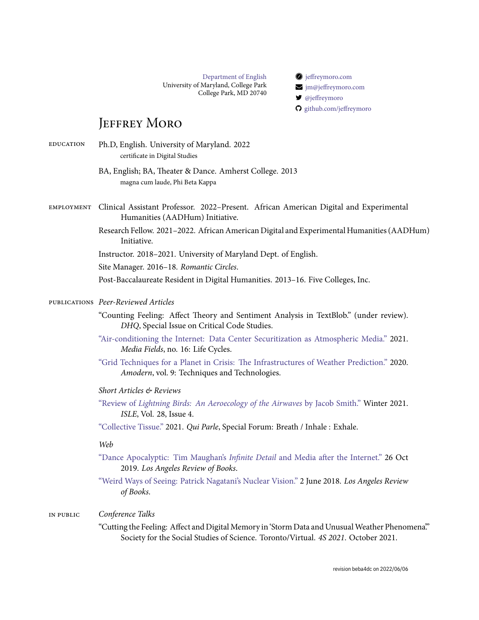[Department of English](http://english.umd.edu) University of Maryland, College Park College Park, MD 20740  [jeffreymoro.com](https://jeffreymoro.com) [jm@jeffreymoro.com](mailto:jm@jeffreymoro.com) [@jeffreymoro](http://twitter.com/jeffreymoro)

[github.com/jeffreymoro](https://github.com/jeffreymoro)

# JEFFREY MORO

| <b>EDUCATION</b> | Ph.D, English. University of Maryland. 2022<br>certificate in Digital Studies                                                                                                       |
|------------------|-------------------------------------------------------------------------------------------------------------------------------------------------------------------------------------|
|                  | BA, English; BA, Theater & Dance. Amherst College. 2013<br>magna cum laude, Phi Beta Kappa                                                                                          |
| EMPLOYMENT       | Clinical Assistant Professor. 2022-Present. African American Digital and Experimental<br>Humanities (AADHum) Initiative.                                                            |
|                  | Research Fellow. 2021-2022. African American Digital and Experimental Humanities (AADHum)<br>Initiative.                                                                            |
|                  | Instructor. 2018-2021. University of Maryland Dept. of English.                                                                                                                     |
|                  | Site Manager. 2016-18. Romantic Circles.                                                                                                                                            |
|                  | Post-Baccalaureate Resident in Digital Humanities. 2013-16. Five Colleges, Inc.                                                                                                     |
|                  | PUBLICATIONS Peer-Reviewed Articles                                                                                                                                                 |
|                  | "Counting Feeling: Affect Theory and Sentiment Analysis in TextBlob." (under review).<br>DHQ, Special Issue on Critical Code Studies.                                               |
|                  | "Air-conditioning the Internet: Data Center Securitization as Atmospheric Media." 2021.<br>Media Fields, no. 16: Life Cycles.                                                       |
|                  | "Grid Techniques for a Planet in Crisis: The Infrastructures of Weather Prediction." 2020.<br>Amodern, vol. 9: Techniques and Technologies.                                         |
|                  | Short Articles & Reviews                                                                                                                                                            |
|                  | "Review of Lightning Birds: An Aeroecology of the Airwaves by Jacob Smith." Winter 2021.<br>ISLE, Vol. 28, Issue 4.                                                                 |
|                  | "Collective Tissue." 2021. Qui Parle, Special Forum: Breath / Inhale: Exhale.                                                                                                       |
|                  | Web                                                                                                                                                                                 |
|                  | "Dance Apocalyptic: Tim Maughan's Infinite Detail and Media after the Internet." 26 Oct<br>2019. Los Angeles Review of Books.                                                       |
|                  | "Weird Ways of Seeing: Patrick Nagatani's Nuclear Vision." 2 June 2018. Los Angeles Review<br>of Books.                                                                             |
| IN PUBLIC        | Conference Talks                                                                                                                                                                    |
|                  | "Cutting the Feeling: Affect and Digital Memory in 'Storm Data and Unusual Weather Phenomena"<br>Society for the Social Studies of Science. Toronto/Virtual. 4S 2021. October 2021. |
|                  |                                                                                                                                                                                     |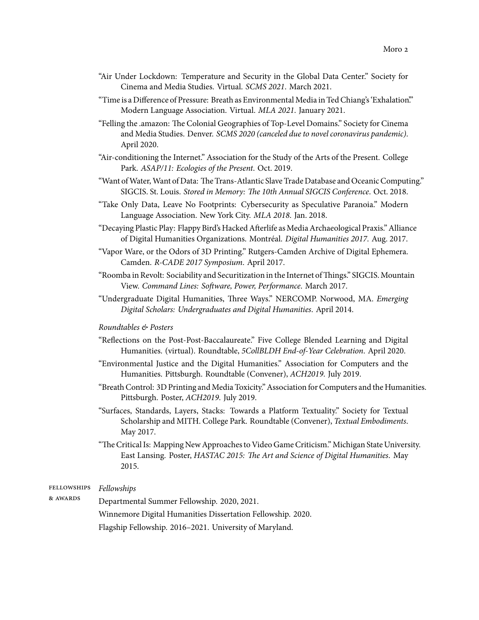- "Air Under Lockdown: Temperature and Security in the Global Data Center." Society for Cinema and Media Studies. Virtual. *SCMS 2021*. March 2021.
- "Time is a Difference of Pressure: Breath as Environmental Media in Ted Chiang's 'Exhalation'." Modern Language Association. Virtual. *MLA 2021*. January 2021.
- "Felling the .amazon: The Colonial Geographies of Top-Level Domains." Society for Cinema and Media Studies. Denver. *SCMS 2020 (canceled due to novel coronavirus pandemic)*. April 2020.
- "Air-conditioning the Internet." Association for the Study of the Arts of the Present. College Park. *ASAP/11: Ecologies of the Present*. Oct. 2019.
- "Want ofWater, Want of Data: The Trans-Atlantic Slave Trade Database and Oceanic Computing." SIGCIS. St. Louis. *Stored in Memory: The 10th Annual SIGCIS Conference*. Oct. 2018.
- "Take Only Data, Leave No Footprints: Cybersecurity as Speculative Paranoia." Modern Language Association. New York City. *MLA 2018*. Jan. 2018.
- "Decaying Plastic Play: Flappy Bird's Hacked Afterlife as Media Archaeological Praxis." Alliance of Digital Humanities Organizations. Montréal. *Digital Humanities 2017*. Aug. 2017.
- "Vapor Ware, or the Odors of 3D Printing." Rutgers-Camden Archive of Digital Ephemera. Camden. *R-CADE 2017 Symposium*. April 2017.
- "Roomba in Revolt: Sociability and Securitization in the Internet of Things." SIGCIS. Mountain View. *Command Lines: Software, Power, Performance*. March 2017.
- "Undergraduate Digital Humanities, Three Ways." NERCOMP. Norwood, MA. *Emerging Digital Scholars: Undergraduates and Digital Humanities*. April 2014.

### *Roundtables & Posters*

- "Reflections on the Post-Post-Baccalaureate." Five College Blended Learning and Digital Humanities. (virtual). Roundtable, *5CollBLDH End-of-Year Celebration*. April 2020.
- "Environmental Justice and the Digital Humanities." Association for Computers and the Humanities. Pittsburgh. Roundtable (Convener), *ACH2019*. July 2019.
- "Breath Control: 3D Printing and Media Toxicity." Association for Computers and the Humanities. Pittsburgh. Poster, *ACH2019*. July 2019.
- "Surfaces, Standards, Layers, Stacks: Towards a Platform Textuality." Society for Textual Scholarship and MITH. College Park. Roundtable (Convener), *Textual Embodiments*. May 2017.
- "The Critical Is: Mapping New Approaches to Video Game Criticism." Michigan State University. East Lansing. Poster, *HASTAC 2015: The Art and Science of Digital Humanities*. May 2015.

#### fellowships *Fellowships*

& awards

Departmental Summer Fellowship. 2020, 2021. Winnemore Digital Humanities Dissertation Fellowship. 2020. Flagship Fellowship. 2016–2021. University of Maryland.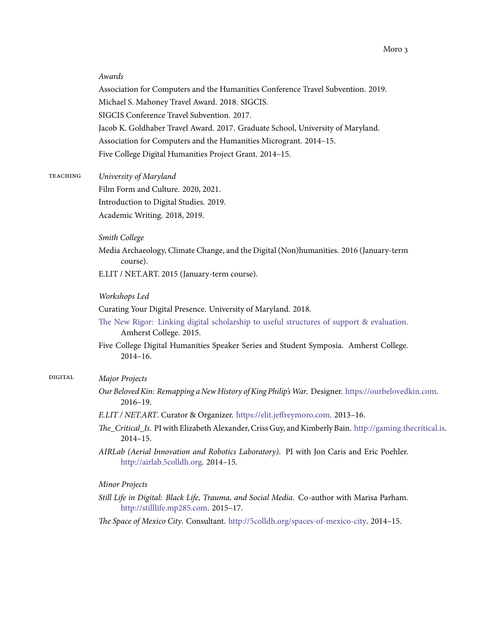#### *Awards*

Association for Computers and the Humanities Conference Travel Subvention. 2019. Michael S. Mahoney Travel Award. 2018. SIGCIS. SIGCIS Conference Travel Subvention. 2017. Jacob K. Goldhaber Travel Award. 2017. Graduate School, University of Maryland. Association for Computers and the Humanities Microgrant. 2014–15. Five College Digital Humanities Project Grant. 2014–15.

teaching *University of Maryland*

Film Form and Culture. 2020, 2021. Introduction to Digital Studies. 2019. Academic Writing. 2018, 2019.

#### *Smith College*

Media Archaeology, Climate Change, and the Digital (Non)humanities. 2016 (January-term course).

E.LIT / NET.ART. 2015 (January-term course).

#### *Workshops Led*

Curating Your Digital Presence. University of Maryland. 2018.

- [The New Rigor: Linking digital scholarship to useful structures of support & evaluation.](http://thenewrigor.5colldh.org) Amherst College. 2015.
- Five College Digital Humanities Speaker Series and Student Symposia. Amherst College. 2014–16.

## digital *Major Projects*

- *Our Beloved Kin: Remapping a New History of King Philip'sWar*. Designer. [https://ourbelovedkin.com.](https://ourbelovedkin.com) 2016–19.
- *E.LIT / NET.ART*. Curator & Organizer. [https://elit.jeffreymoro.com.](https://elit.jeffreymoro.com) 2013–16.
- *The\_Critical\_Is*. PI with Elizabeth Alexander, Criss Guy, and Kimberly Bain. [http://gaming.thecritical.is.](http://gaming.thecritical.is) 2014–15.
- *AIRLab (Aerial Innovation and Robotics Laboratory)*. PI with Jon Caris and Eric Poehler. <http://airlab.5colldh.org>. 2014–15.

*Minor Projects*

- *Still Life in Digital: Black Life, Trauma, and Social Media*. Co-author with Marisa Parham. <http://stilllife.mp285.com>. 2015–17.
- *The Space of Mexico City*. Consultant. <http://5colldh.org/spaces-of-mexico-city>. 2014–15.